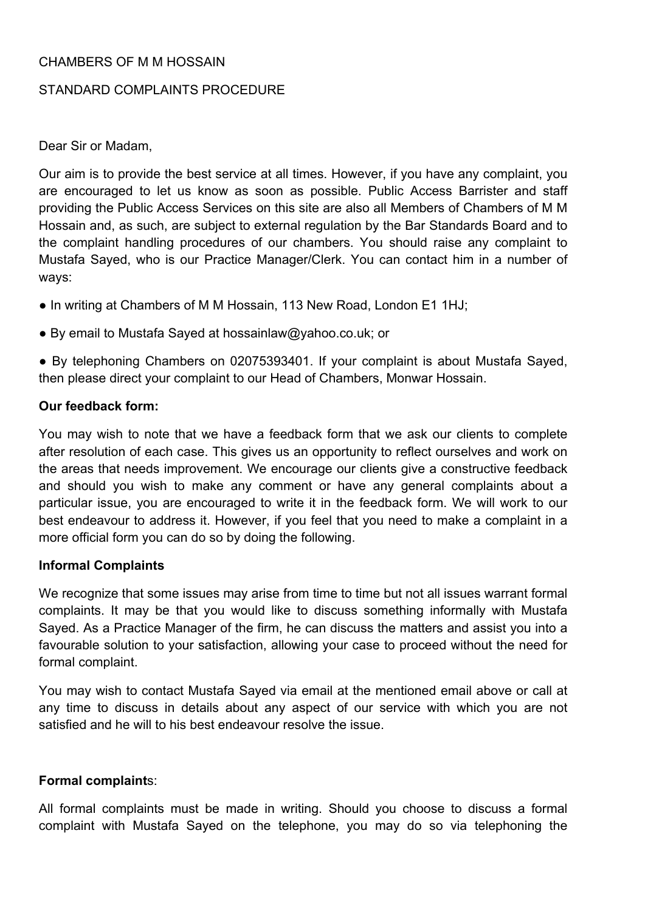## CHAMBERS OF M M HOSSAIN

## STANDARD COMPLAINTS PROCEDURE

Dear Sir or Madam,

Our aim is to provide the best service at all times. However, if you have any complaint, you are encouraged to let us know as soon as possible. Public Access Barrister and staff providing the Public Access Services on this site are also all Members of Chambers of M M Hossain and, as such, are subject to external regulation by the Bar Standards Board and to the complaint handling procedures of our chambers. You should raise any complaint to Mustafa Sayed, who is our Practice Manager/Clerk. You can contact him in a number of ways:

- In writing at Chambers of M M Hossain, 113 New Road, London E1 1HJ;
- By email to Mustafa Sayed at hossainlaw@yahoo.co.uk; or

● By telephoning Chambers on 02075393401. If your complaint is about Mustafa Sayed, then please direct your complaint to our Head of Chambers, Monwar Hossain.

## **Our feedback form:**

You may wish to note that we have a feedback form that we ask our clients to complete after resolution of each case. This gives us an opportunity to reflect ourselves and work on the areas that needs improvement. We encourage our clients give a constructive feedback and should you wish to make any comment or have any general complaints about a particular issue, you are encouraged to write it in the feedback form. We will work to our best endeavour to address it. However, if you feel that you need to make a complaint in a more official form you can do so by doing the following.

#### **Informal Complaints**

We recognize that some issues may arise from time to time but not all issues warrant formal complaints. It may be that you would like to discuss something informally with Mustafa Sayed. As a Practice Manager of the firm, he can discuss the matters and assist you into a favourable solution to your satisfaction, allowing your case to proceed without the need for formal complaint.

You may wish to contact Mustafa Sayed via email at the mentioned email above or call at any time to discuss in details about any aspect of our service with which you are not satisfied and he will to his best endeavour resolve the issue.

#### **Formal complaint**s:

All formal complaints must be made in writing. Should you choose to discuss a formal complaint with Mustafa Sayed on the telephone, you may do so via telephoning the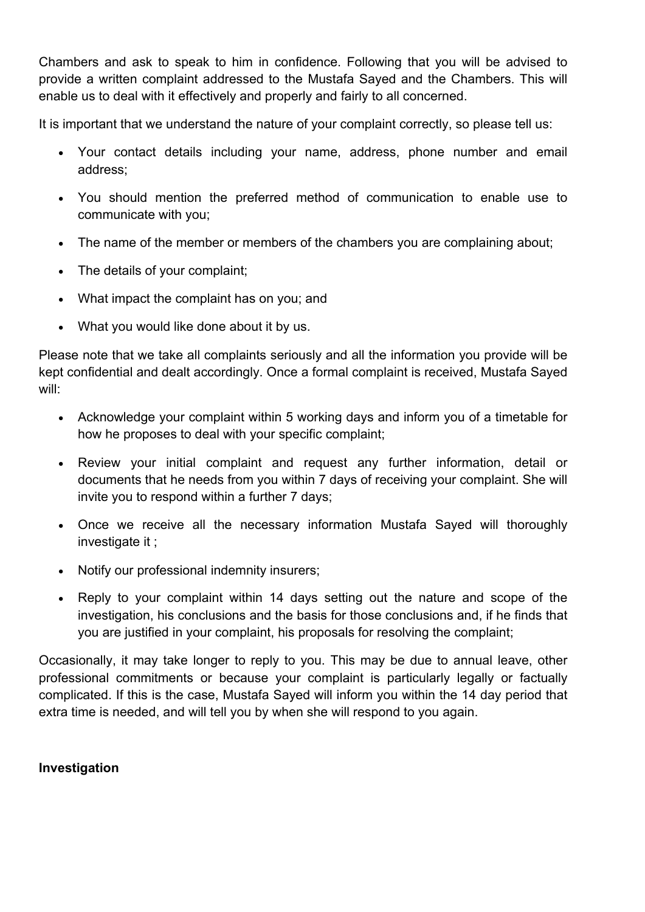Chambers and ask to speak to him in confidence. Following that you will be advised to provide a written complaint addressed to the Mustafa Sayed and the Chambers. This will enable us to deal with it effectively and properly and fairly to all concerned.

It is important that we understand the nature of your complaint correctly, so please tell us:

- Your contact details including your name, address, phone number and email address;
- You should mention the preferred method of communication to enable use to communicate with you;
- The name of the member or members of the chambers you are complaining about;
- The details of your complaint;
- What impact the complaint has on you; and
- What you would like done about it by us.

Please note that we take all complaints seriously and all the information you provide will be kept confidential and dealt accordingly. Once a formal complaint is received, Mustafa Sayed will:

- Acknowledge your complaint within 5 working days and inform you of a timetable for how he proposes to deal with your specific complaint;
- Review your initial complaint and request any further information, detail or documents that he needs from you within 7 days of receiving your complaint. She will invite you to respond within a further 7 days;
- Once we receive all the necessary information Mustafa Sayed will thoroughly investigate it ;
- Notify our professional indemnity insurers;
- Reply to your complaint within 14 days setting out the nature and scope of the investigation, his conclusions and the basis for those conclusions and, if he finds that you are justified in your complaint, his proposals for resolving the complaint;

Occasionally, it may take longer to reply to you. This may be due to annual leave, other professional commitments or because your complaint is particularly legally or factually complicated. If this is the case, Mustafa Sayed will inform you within the 14 day period that extra time is needed, and will tell you by when she will respond to you again.

#### **Investigation**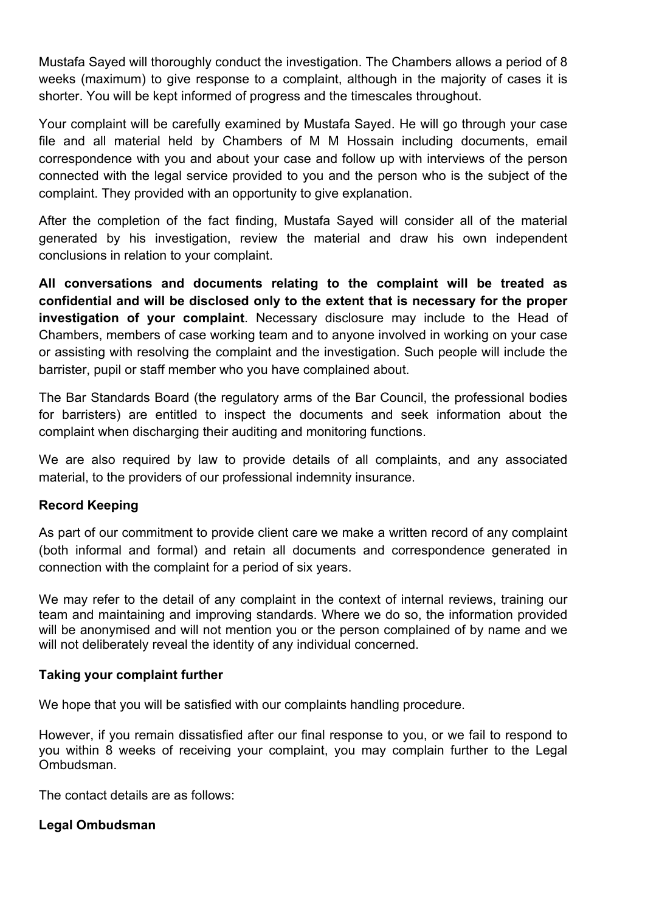Mustafa Sayed will thoroughly conduct the investigation. The Chambers allows a period of 8 weeks (maximum) to give response to a complaint, although in the majority of cases it is shorter. You will be kept informed of progress and the timescales throughout.

Your complaint will be carefully examined by Mustafa Sayed. He will go through your case file and all material held by Chambers of M M Hossain including documents, email correspondence with you and about your case and follow up with interviews of the person connected with the legal service provided to you and the person who is the subject of the complaint. They provided with an opportunity to give explanation.

After the completion of the fact finding, Mustafa Sayed will consider all of the material generated by his investigation, review the material and draw his own independent conclusions in relation to your complaint.

**All conversations and documents relating to the complaint will be treated as confidential and will be disclosed only to the extent that is necessary for the proper investigation of your complaint**. Necessary disclosure may include to the Head of Chambers, members of case working team and to anyone involved in working on your case or assisting with resolving the complaint and the investigation. Such people will include the barrister, pupil or staff member who you have complained about.

The Bar Standards Board (the regulatory arms of the Bar Council, the professional bodies for barristers) are entitled to inspect the documents and seek information about the complaint when discharging their auditing and monitoring functions.

We are also required by law to provide details of all complaints, and any associated material, to the providers of our professional indemnity insurance.

# **Record Keeping**

As part of our commitment to provide client care we make a written record of any complaint (both informal and formal) and retain all documents and correspondence generated in connection with the complaint for a period of six years.

We may refer to the detail of any complaint in the context of internal reviews, training our team and maintaining and improving standards. Where we do so, the information provided will be anonymised and will not mention you or the person complained of by name and we will not deliberately reveal the identity of any individual concerned.

#### **Taking your complaint further**

We hope that you will be satisfied with our complaints handling procedure.

However, if you remain dissatisfied after our final response to you, or we fail to respond to you within 8 weeks of receiving your complaint, you may complain further to the Legal Ombudsman.

The contact details are as follows:

# **Legal Ombudsman**